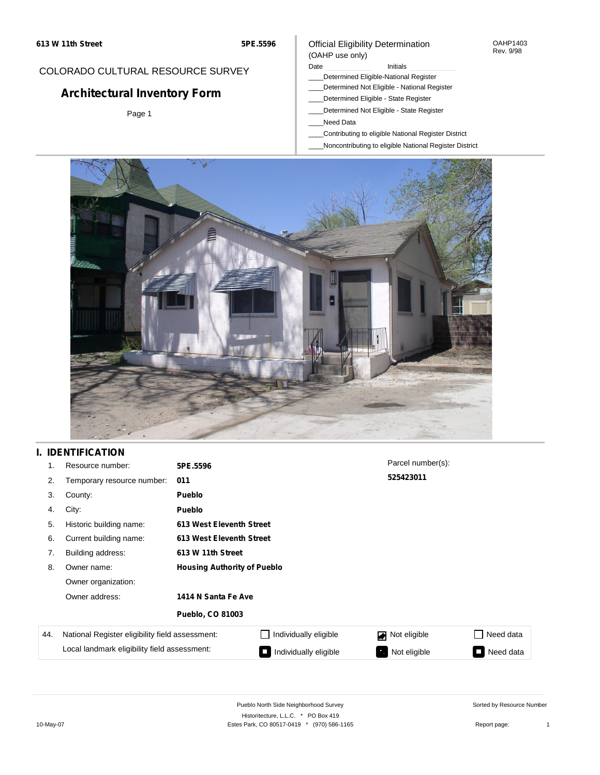## COLORADO CULTURAL RESOURCE SURVEY

# **Architectural Inventory Form**

Page 1

### Official Eligibility Determination (OAHP use only)

Date **Initials** Initials

- \_\_\_\_Determined Eligible-National Register
- \_\_\_\_Determined Not Eligible National Register
- \_\_\_\_Determined Eligible State Register
- \_\_\_\_Determined Not Eligible State Register
- \_\_\_\_Need Data
- \_\_\_\_Contributing to eligible National Register District
- \_\_\_\_Noncontributing to eligible National Register District



## **I. IDENTIFICATION**

| 1.  | Resource number:                                | 5PE.5596                           |                          | Parcel number(s): |                                        |
|-----|-------------------------------------------------|------------------------------------|--------------------------|-------------------|----------------------------------------|
| 2.  | Temporary resource number:                      | 011                                |                          | 525423011         |                                        |
| 3.  | County:                                         | <b>Pueblo</b>                      |                          |                   |                                        |
| 4.  | City:                                           | <b>Pueblo</b>                      |                          |                   |                                        |
| 5.  | Historic building name:                         |                                    | 613 West Eleventh Street |                   |                                        |
| 6.  | Current building name:                          |                                    | 613 West Eleventh Street |                   |                                        |
| 7.  | Building address:                               | 613 W 11th Street                  |                          |                   |                                        |
| 8.  | Owner name:                                     | <b>Housing Authority of Pueblo</b> |                          |                   |                                        |
|     | Owner organization:                             |                                    |                          |                   |                                        |
|     | Owner address:<br>1414 N Santa Fe Ave           |                                    |                          |                   |                                        |
|     |                                                 | <b>Pueblo, CO 81003</b>            |                          |                   |                                        |
| 44. | National Register eligibility field assessment: |                                    | Individually eligible    | Not eligible      | □ Need data                            |
|     | Local landmark eligibility field assessment:    |                                    | Individually eligible    | Not eligible      | Need data<br><b>The Contract State</b> |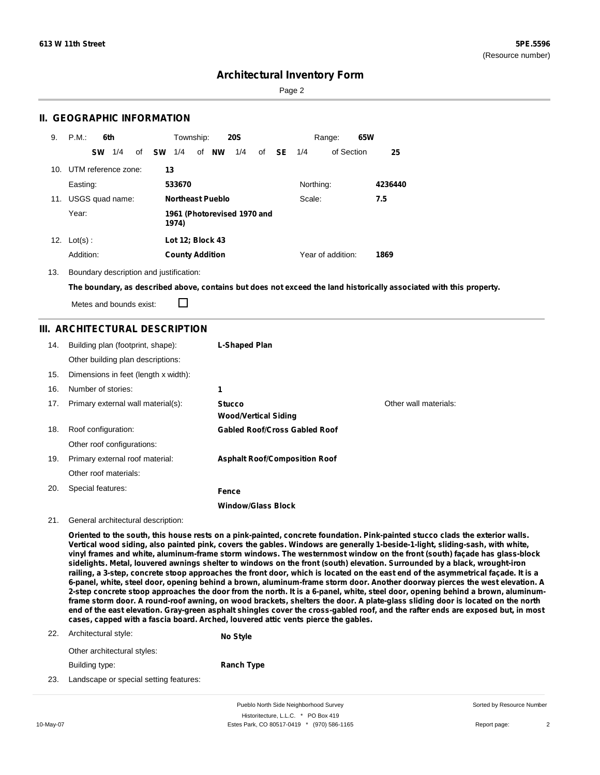Page 2

### **II. GEOGRAPHIC INFORMATION**

| 9.  | P.M.<br>6th             | Township:<br><b>20S</b><br>65W<br>Range:                                 |         |
|-----|-------------------------|--------------------------------------------------------------------------|---------|
|     | 1/4<br><b>SW</b><br>of  | of NW<br><b>SW</b><br>1/4<br>1/4<br><b>SE</b><br>of Section<br>of<br>1/4 | 25      |
|     | 10. UTM reference zone: | 13                                                                       |         |
|     | Easting:                | Northing:<br>533670                                                      | 4236440 |
| 11. | USGS quad name:         | <b>Northeast Pueblo</b><br>Scale:                                        | 7.5     |
|     | Year:                   | 1961 (Photorevised 1970 and<br>1974)                                     |         |
| 12. | $Lot(s)$ :              | Lot 12; Block 43                                                         |         |
|     | Addition:               | Year of addition:<br><b>County Addition</b>                              | 1869    |

13. Boundary description and justification:

The boundary, as described above, contains but does not exceed the land historically associated with this property.

Metes and bounds exist:

П

### **III. ARCHITECTURAL DESCRIPTION**

| 14. | Building plan (footprint, shape):    | L-Shaped Plan                                |                       |
|-----|--------------------------------------|----------------------------------------------|-----------------------|
|     | Other building plan descriptions:    |                                              |                       |
| 15. | Dimensions in feet (length x width): |                                              |                       |
| 16. | Number of stories:                   | 1                                            |                       |
| 17. | Primary external wall material(s):   | <b>Stucco</b><br><b>Wood/Vertical Siding</b> | Other wall materials: |
| 18. | Roof configuration:                  | <b>Gabled Roof/Cross Gabled Roof</b>         |                       |
|     | Other roof configurations:           |                                              |                       |
| 19. | Primary external roof material:      | <b>Asphalt Roof/Composition Roof</b>         |                       |
|     | Other roof materials:                |                                              |                       |
| 20. | Special features:                    | Fence                                        |                       |
|     |                                      | <b>Window/Glass Block</b>                    |                       |

#### 21. General architectural description:

Oriented to the south, this house rests on a pink-painted, concrete foundation. Pink-painted stucco clads the exterior walls. Vertical wood siding, also painted pink, covers the gables. Windows are generally 1-beside-1-light, sliding-sash, with white, vinyl frames and white, aluminum-frame storm windows. The westernmost window on the front (south) façade has glass-block sidelights. Metal, louvered awnings shelter to windows on the front (south) elevation. Surrounded by a black, wrought-iron railing, a 3-step, concrete stoop approaches the front door, which is located on the east end of the asymmetrical façade. It is a 6-panel, white, steel door, opening behind a brown, aluminum-frame storm door. Another doorway pierces the west elevation. A 2-step concrete stoop approaches the door from the north. It is a 6-panel, white, steel door, opening behind a brown, aluminumframe storm door. A round-roof awning, on wood brackets, shelters the door. A plate-glass sliding door is located on the north end of the east elevation. Gray-green asphalt shingles cover the cross-gabled roof, and the rafter ends are exposed but, in most **cases, capped with a fascia board. Arched, louvered attic vents pierce the gables.**

22. Architectural style: **No Style**

Other architectural styles: Building type:

**Ranch Type**

23. Landscape or special setting features:

Pueblo North Side Neighborhood Survey Historitecture, L.L.C. \* PO Box 419 10-May-07 Estes Park, CO 80517-0419 \* (970) 586-1165 Report page: 2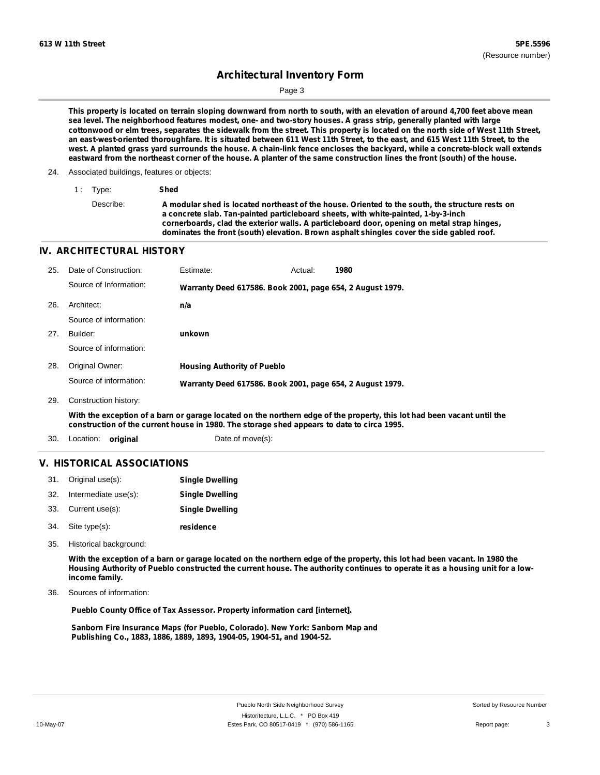Page 3

This property is located on terrain sloping downward from north to south, with an elevation of around 4,700 feet above mean sea level. The neighborhood features modest, one- and two-story houses. A grass strip, generally planted with large cottonwood or elm trees, separates the sidewalk from the street. This property is located on the north side of West 11th Street, an east-west-oriented thoroughfare. It is situated between 611 West 11th Street, to the east, and 615 West 11th Street, to the west. A planted grass yard surrounds the house. A chain-link fence encloses the backyard, while a concrete-block wall extends eastward from the northeast corner of the house. A planter of the same construction lines the front (south) of the house.

#### 24. Associated buildings, features or objects:

| 1: Type:  | Shed                                                                                                                                                                                                                                                                                                                                                                              |
|-----------|-----------------------------------------------------------------------------------------------------------------------------------------------------------------------------------------------------------------------------------------------------------------------------------------------------------------------------------------------------------------------------------|
| Describe: | A modular shed is located northeast of the house. Oriented to the south, the structure rests on<br>a concrete slab. Tan-painted particleboard sheets, with white-painted, 1-by-3-inch<br>cornerboards, clad the exterior walls. A particleboard door, opening on metal strap hinges,<br>dominates the front (south) elevation. Brown asphalt shingles cover the side gabled roof. |

#### **IV. ARCHITECTURAL HISTORY**

| 25. | Date of Construction:  | Estimate:                                                 | Actual: | 1980 |
|-----|------------------------|-----------------------------------------------------------|---------|------|
|     | Source of Information: | Warranty Deed 617586. Book 2001, page 654, 2 August 1979. |         |      |
| 26. | Architect:             | n/a                                                       |         |      |
|     | Source of information: |                                                           |         |      |
| 27. | Builder:               | unkown                                                    |         |      |
|     | Source of information: |                                                           |         |      |
| 28. | Original Owner:        | <b>Housing Authority of Pueblo</b>                        |         |      |
|     | Source of information: | Warranty Deed 617586. Book 2001, page 654, 2 August 1979. |         |      |
| 29. | Construction history:  |                                                           |         |      |

With the exception of a barn or garage located on the northern edge of the property, this lot had been vacant until the **construction of the current house in 1980. The storage shed appears to date to circa 1995.**

30. Location: **original** Date of move(s):

### **V. HISTORICAL ASSOCIATIONS**

|     | 31. Original use(s): | <b>Single Dwelling</b> |
|-----|----------------------|------------------------|
| 32. | Intermediate use(s): | <b>Single Dwelling</b> |
|     | 33. Current use(s):  | <b>Single Dwelling</b> |
|     | 34. Site type(s):    | residence              |

35. Historical background:

With the exception of a barn or garage located on the northern edge of the property, this lot had been vacant. In 1980 the Housing Authority of Pueblo constructed the current house. The authority continues to operate it as a housing unit for a low**income family.**

Sources of information: 36.

**Pueblo County Office of Tax Assessor. Property information card [internet].**

**Sanborn Fire Insurance Maps (for Pueblo, Colorado). New York: Sanborn Map and Publishing Co., 1883, 1886, 1889, 1893, 1904-05, 1904-51, and 1904-52.**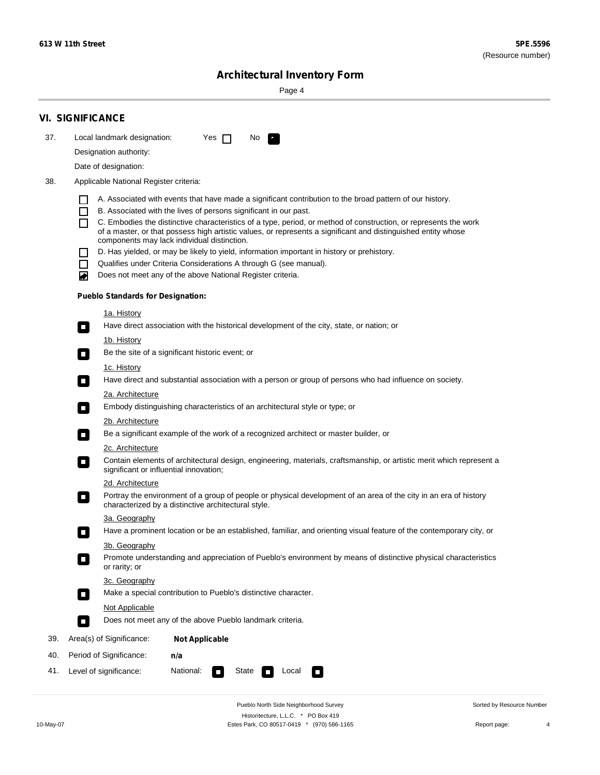Page 4

|     | <b>VI. SIGNIFICANCE</b>                                                                                                                                                                                                                                                                                                                                                                                                           |
|-----|-----------------------------------------------------------------------------------------------------------------------------------------------------------------------------------------------------------------------------------------------------------------------------------------------------------------------------------------------------------------------------------------------------------------------------------|
| 37. | Local landmark designation:<br>Yes $\Box$<br>No.<br>P.                                                                                                                                                                                                                                                                                                                                                                            |
|     | Designation authority:                                                                                                                                                                                                                                                                                                                                                                                                            |
|     | Date of designation:                                                                                                                                                                                                                                                                                                                                                                                                              |
| 38. | Applicable National Register criteria:                                                                                                                                                                                                                                                                                                                                                                                            |
|     | A. Associated with events that have made a significant contribution to the broad pattern of our history.<br>H<br>B. Associated with the lives of persons significant in our past.<br>ΙI<br>C. Embodies the distinctive characteristics of a type, period, or method of construction, or represents the work<br>П<br>of a master, or that possess high artistic values, or represents a significant and distinguished entity whose |
|     | components may lack individual distinction.                                                                                                                                                                                                                                                                                                                                                                                       |
|     | D. Has yielded, or may be likely to yield, information important in history or prehistory.                                                                                                                                                                                                                                                                                                                                        |
|     | Qualifies under Criteria Considerations A through G (see manual).<br>П                                                                                                                                                                                                                                                                                                                                                            |
|     | Does not meet any of the above National Register criteria.<br>◙                                                                                                                                                                                                                                                                                                                                                                   |
|     | <b>Pueblo Standards for Designation:</b>                                                                                                                                                                                                                                                                                                                                                                                          |
|     | 1a. History<br>Have direct association with the historical development of the city, state, or nation; or<br>$\mathcal{L}_{\mathcal{A}}$                                                                                                                                                                                                                                                                                           |
|     | <u>1b. History</u><br>Be the site of a significant historic event; or<br><b>The Second Service</b>                                                                                                                                                                                                                                                                                                                                |
|     | 1c. History<br>Have direct and substantial association with a person or group of persons who had influence on society.<br>$\blacksquare$                                                                                                                                                                                                                                                                                          |
|     | 2a. Architecture                                                                                                                                                                                                                                                                                                                                                                                                                  |
|     | Embody distinguishing characteristics of an architectural style or type; or<br>$\sim$                                                                                                                                                                                                                                                                                                                                             |
|     | 2b. Architecture                                                                                                                                                                                                                                                                                                                                                                                                                  |
|     | Be a significant example of the work of a recognized architect or master builder, or<br>$\Box$                                                                                                                                                                                                                                                                                                                                    |
|     | 2c. Architecture                                                                                                                                                                                                                                                                                                                                                                                                                  |
|     | Contain elements of architectural design, engineering, materials, craftsmanship, or artistic merit which represent a<br>о<br>significant or influential innovation;                                                                                                                                                                                                                                                               |
|     | 2d. Architecture                                                                                                                                                                                                                                                                                                                                                                                                                  |
|     | Portray the environment of a group of people or physical development of an area of the city in an era of history<br>п<br>characterized by a distinctive architectural style.                                                                                                                                                                                                                                                      |
|     | 3a. Geography                                                                                                                                                                                                                                                                                                                                                                                                                     |
|     | Have a prominent location or be an established, familiar, and orienting visual feature of the contemporary city, or                                                                                                                                                                                                                                                                                                               |
|     | 3b. Geography<br>Promote understanding and appreciation of Pueblo's environment by means of distinctive physical characteristics<br>or rarity; or                                                                                                                                                                                                                                                                                 |
|     | 3c. Geography<br>Make a special contribution to Pueblo's distinctive character.<br>$\Box$                                                                                                                                                                                                                                                                                                                                         |
|     | Not Applicable                                                                                                                                                                                                                                                                                                                                                                                                                    |
|     | Does not meet any of the above Pueblo landmark criteria.<br>$\overline{\phantom{a}}$                                                                                                                                                                                                                                                                                                                                              |
| 39. | Area(s) of Significance:<br><b>Not Applicable</b>                                                                                                                                                                                                                                                                                                                                                                                 |
| 40. | Period of Significance:<br>n/a                                                                                                                                                                                                                                                                                                                                                                                                    |
| 41. | National:<br>Level of significance:<br>State<br>Local<br>$\overline{\phantom{a}}$<br>П                                                                                                                                                                                                                                                                                                                                            |

Pueblo North Side Neighborhood Survey Historitecture, L.L.C. \* PO Box 419 10-May-07 Estes Park, CO 80517-0419 \* (970) 586-1165 Report page: 4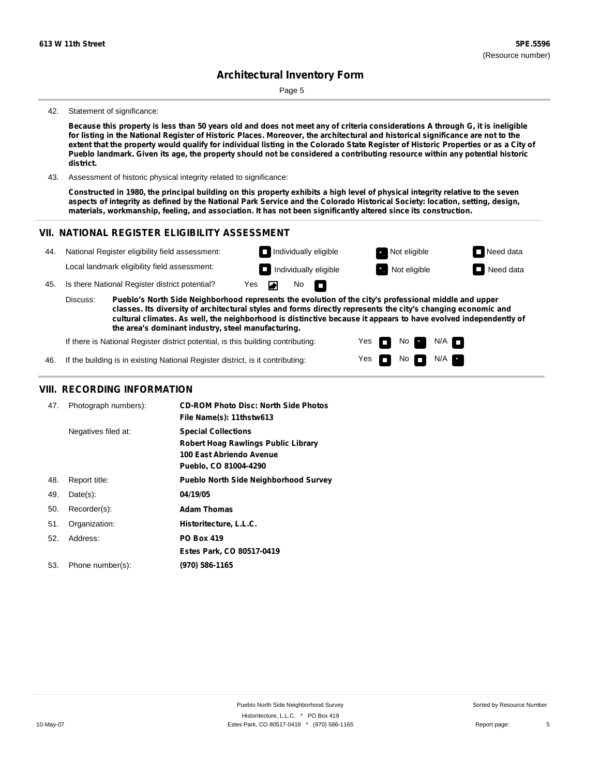Page 5

#### 42. Statement of significance:

Because this property is less than 50 years old and does not meet any of criteria considerations A through G, it is ineligible for listing in the National Register of Historic Places. Moreover, the architectural and historical significance are not to the extent that the property would qualify for individual listing in the Colorado State Register of Historic Properties or as a City of Pueblo landmark. Given its age, the property should not be considered a contributing resource within any potential historic **district.**

43. Assessment of historic physical integrity related to significance:

Constructed in 1980, the principal building on this property exhibits a high level of physical integrity relative to the seven aspects of integrity as defined by the National Park Service and the Colorado Historical Society: location, setting, design, **materials, workmanship, feeling, and association. It has not been significantly altered since its construction.**

#### **VII. NATIONAL REGISTER ELIGIBILITY ASSESSMENT**



Yes Yes m m No **Ex** 

 $N$ o  $N/A$ 

 $N/A$   $\Box$ 

If there is National Register district potential, is this building contributing:

If the building is in existing National Register district, is it contributing: 46.

#### **VIII. RECORDING INFORMATION**

| 47. | Photograph numbers): | <b>CD-ROM Photo Disc: North Side Photos</b><br>File Name(s): 11thstw613                                                |
|-----|----------------------|------------------------------------------------------------------------------------------------------------------------|
|     | Negatives filed at:  | <b>Special Collections</b><br>Robert Hoag Rawlings Public Library<br>100 East Abriendo Avenue<br>Pueblo, CO 81004-4290 |
| 48. | Report title:        | <b>Pueblo North Side Neighborhood Survey</b>                                                                           |
| 49. | $Date(s)$ :          | 04/19/05                                                                                                               |
| 50. | Recorder(s):         | <b>Adam Thomas</b>                                                                                                     |
| 51. | Organization:        | Historitecture, L.L.C.                                                                                                 |
| 52. | Address:             | <b>PO Box 419</b>                                                                                                      |
|     |                      | Estes Park, CO 80517-0419                                                                                              |
| 53. | Phone number(s):     | (970) 586-1165                                                                                                         |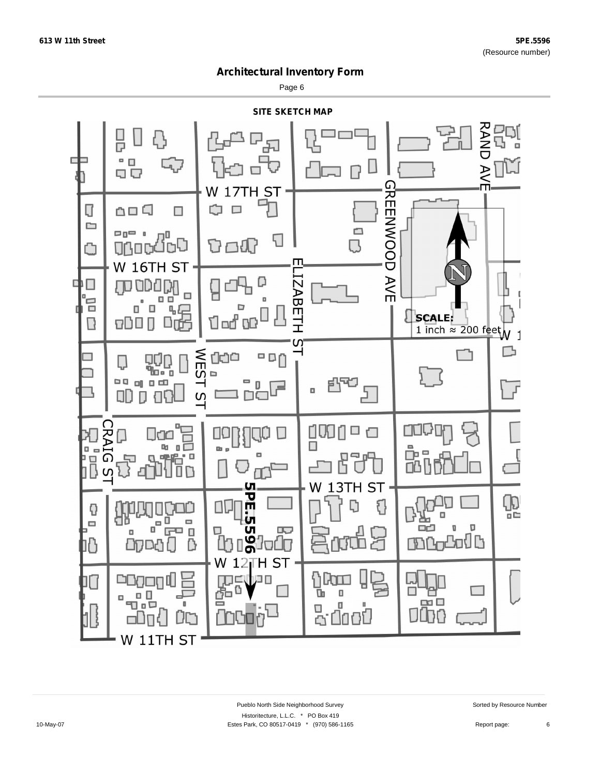Page 6